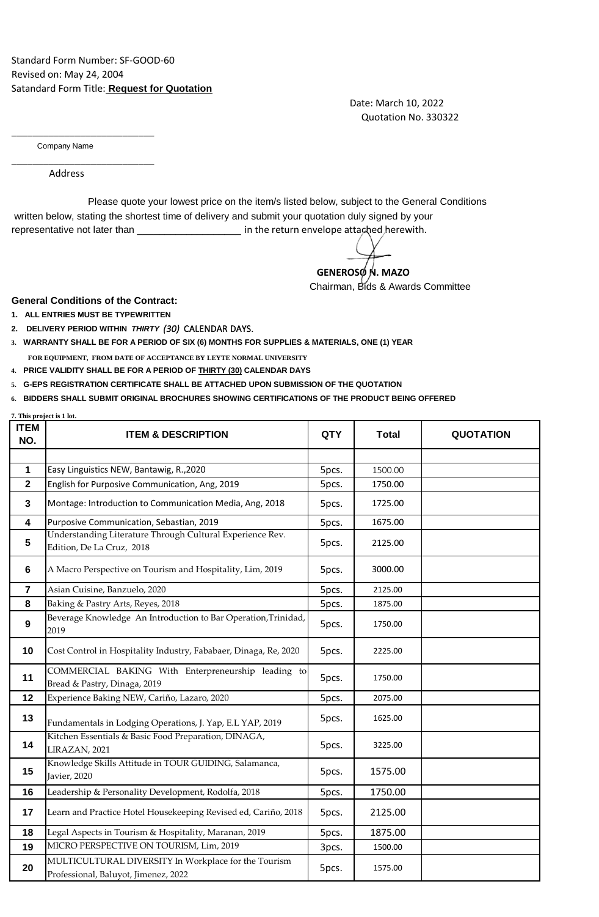## Standard Form Number: SF-GOOD-60 Revised on: May 24, 2004 Satandard Form Title: **Request for Quotation**

 Date: March 10, 2022 Quotation No. 330322

Company Name

\_\_\_\_\_\_\_\_\_\_\_\_\_\_\_\_\_\_\_\_\_\_\_\_\_\_\_

\_\_\_\_\_\_\_\_\_\_\_\_\_\_\_\_\_\_\_\_\_\_\_\_\_\_\_

Address

 written below, stating the shortest time of delivery and submit your quotation duly signed by your representative not later than \_\_\_\_\_\_\_\_\_\_\_\_\_\_\_\_\_\_\_\_\_\_\_ in the return envelope attached herewith. Please quote your lowest price on the item/s listed below, subject to the General Conditions

**GENEROSON.** MAZO

Chairman, Bids & Awards Committee

## **General Conditions of the Contract:**

**1. ALL ENTRIES MUST BE TYPEWRITTEN**

**7. This project is 1 lot.**

- **2. DELIVERY PERIOD WITHIN** *THIRTY (30)* CALENDAR DAYS.
- **3. WARRANTY SHALL BE FOR A PERIOD OF SIX (6) MONTHS FOR SUPPLIES & MATERIALS, ONE (1) YEAR FOR EQUIPMENT, FROM DATE OF ACCEPTANCE BY LEYTE NORMAL UNIVERSITY**
- **4. PRICE VALIDITY SHALL BE FOR A PERIOD OF THIRTY (30) CALENDAR DAYS**
- **5. G-EPS REGISTRATION CERTIFICATE SHALL BE ATTACHED UPON SUBMISSION OF THE QUOTATION**
- **6. BIDDERS SHALL SUBMIT ORIGINAL BROCHURES SHOWING CERTIFICATIONS OF THE PRODUCT BEING OFFERED**

| <b>ITEM</b><br>NO. | . Tina project is 1 lot.<br><b>ITEM &amp; DESCRIPTION</b>                                    | <b>QTY</b> | <b>Total</b> | <b>QUOTATION</b> |
|--------------------|----------------------------------------------------------------------------------------------|------------|--------------|------------------|
|                    |                                                                                              |            |              |                  |
| 1                  | Easy Linguistics NEW, Bantawig, R., 2020                                                     | 5pcs.      | 1500.00      |                  |
| $\mathbf 2$        | English for Purposive Communication, Ang, 2019                                               | 5pcs.      | 1750.00      |                  |
| 3                  | Montage: Introduction to Communication Media, Ang, 2018                                      | 5pcs.      | 1725.00      |                  |
| 4                  | Purposive Communication, Sebastian, 2019                                                     | 5pcs.      | 1675.00      |                  |
| 5                  | Understanding Literature Through Cultural Experience Rev.<br>Edition, De La Cruz, 2018       | 5pcs.      | 2125.00      |                  |
| 6                  | A Macro Perspective on Tourism and Hospitality, Lim, 2019                                    | 5pcs.      | 3000.00      |                  |
| $\overline{7}$     | Asian Cuisine, Banzuelo, 2020                                                                | 5pcs.      | 2125.00      |                  |
| 8                  | Baking & Pastry Arts, Reyes, 2018                                                            | 5pcs.      | 1875.00      |                  |
| 9                  | Beverage Knowledge An Introduction to Bar Operation, Trinidad,<br>2019                       | 5pcs.      | 1750.00      |                  |
| 10                 | Cost Control in Hospitality Industry, Fababaer, Dinaga, Re, 2020                             | 5pcs.      | 2225.00      |                  |
| 11                 | COMMERCIAL BAKING With Enterpreneurship leading to<br>Bread & Pastry, Dinaga, 2019           | 5pcs.      | 1750.00      |                  |
| 12                 | Experience Baking NEW, Cariño, Lazaro, 2020                                                  | 5pcs.      | 2075.00      |                  |
| 13                 | Fundamentals in Lodging Operations, J. Yap, E.L YAP, 2019                                    | 5pcs.      | 1625.00      |                  |
| 14                 | Kitchen Essentials & Basic Food Preparation, DINAGA,<br>LIRAZAN, 2021                        | 5pcs.      | 3225.00      |                  |
| 15                 | Knowledge Skills Attitude in TOUR GUIDING, Salamanca,<br>Javier, 2020                        | 5pcs.      | 1575.00      |                  |
| 16                 | Leadership & Personality Development, Rodolfa, 2018                                          | 5pcs.      | 1750.00      |                  |
| 17                 | Learn and Practice Hotel Housekeeping Revised ed, Cariño, 2018                               | 5pcs.      | 2125.00      |                  |
| 18                 | Legal Aspects in Tourism & Hospitality, Maranan, 2019                                        | 5pcs.      | 1875.00      |                  |
| 19                 | MICRO PERSPECTIVE ON TOURISM, Lim, 2019                                                      | 3pcs.      | 1500.00      |                  |
| 20                 | MULTICULTURAL DIVERSITY In Workplace for the Tourism<br>Professional, Baluyot, Jimenez, 2022 | 5pcs.      | 1575.00      |                  |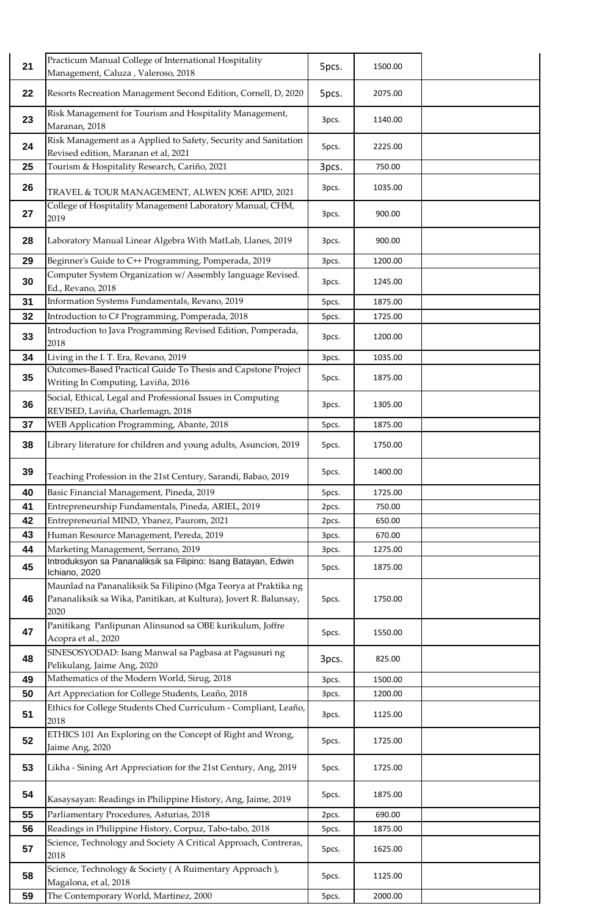| 21 | Practicum Manual College of International Hospitality<br>Management, Caluza, Valeroso, 2018                                                 | 5pcs. | 1500.00 |  |
|----|---------------------------------------------------------------------------------------------------------------------------------------------|-------|---------|--|
| 22 | Resorts Recreation Management Second Edition, Cornell, D, 2020                                                                              | 5pcs. | 2075.00 |  |
| 23 | Risk Management for Tourism and Hospitality Management,<br>Maranan, 2018                                                                    | 3pcs. | 1140.00 |  |
| 24 | Risk Management as a Applied to Safety, Security and Sanitation<br>Revised edition, Maranan et al, 2021                                     | 5pcs. | 2225.00 |  |
| 25 | Tourism & Hospitality Research, Cariño, 2021                                                                                                | 3pcs. | 750.00  |  |
| 26 | TRAVEL & TOUR MANAGEMENT, ALWEN JOSE APID, 2021                                                                                             | 3pcs. | 1035.00 |  |
| 27 | College of Hospitality Management Laboratory Manual, CHM,<br>2019                                                                           | 3pcs. | 900.00  |  |
| 28 | Laboratory Manual Linear Algebra With MatLab, Llanes, 2019                                                                                  | 3pcs. | 900.00  |  |
| 29 | Beginner's Guide to C++ Programming, Pomperada, 2019                                                                                        | 3pcs. | 1200.00 |  |
| 30 | Computer System Organization w/ Assembly language Revised.<br>Ed., Revano, 2018                                                             | 3pcs. | 1245.00 |  |
| 31 | Information Systems Fundamentals, Revano, 2019                                                                                              | 5pcs. | 1875.00 |  |
| 32 | Introduction to C# Programming, Pomperada, 2018                                                                                             | 5pcs. | 1725.00 |  |
| 33 | Introduction to Java Programming Revised Edition, Pomperada,<br>2018                                                                        | 3pcs. | 1200.00 |  |
| 34 | Living in the I.T. Era, Revano, 2019                                                                                                        | 3pcs. | 1035.00 |  |
| 35 | Outcomes-Based Practical Guide To Thesis and Capstone Project<br>Writing In Computing, Laviña, 2016                                         | 5pcs. | 1875.00 |  |
| 36 | Social, Ethical, Legal and Professional Issues in Computing<br>REVISED, Laviña, Charlemagn, 2018                                            | 3pcs. | 1305.00 |  |
| 37 | WEB Application Programming, Abante, 2018                                                                                                   | 5pcs. | 1875.00 |  |
| 38 | Library literature for children and young adults, Asuncion, 2019                                                                            | 5pcs. | 1750.00 |  |
| 39 | Teaching Profession in the 21st Century, Sarandi, Babao, 2019                                                                               | 5pcs. | 1400.00 |  |
| 40 | Basic Financial Management, Pineda, 2019                                                                                                    | 5pcs. | 1725.00 |  |
| 41 | Entrepreneurship Fundamentals, Pineda, ARIEL, 2019                                                                                          | 2pcs. | 750.00  |  |
| 42 | Entrepreneurial MIND, Ybanez, Paurom, 2021                                                                                                  | 2pcs. | 650.00  |  |
| 43 | Human Resource Management, Pereda, 2019                                                                                                     | 3pcs. | 670.00  |  |
| 44 | Marketing Management, Serrano, 2019<br>Introduksyon sa Pananaliksik sa Filipino: Isang Batayan, Edwin                                       | 3pcs. | 1275.00 |  |
| 45 | Ichiano, 2020                                                                                                                               | 5pcs. | 1875.00 |  |
| 46 | Maunlad na Pananaliksik Sa Filipino (Mga Teorya at Praktika ng<br>Pananaliksik sa Wika, Panitikan, at Kultura), Jovert R. Balunsay,<br>2020 | 5pcs. | 1750.00 |  |
| 47 | Panitikang Panlipunan Alinsunod sa OBE kurikulum, Joffre<br>Acopra et al., 2020                                                             | 5pcs. | 1550.00 |  |
| 48 | SINESOSYODAD: Isang Manwal sa Pagbasa at Pagsusuri ng<br>Pelikulang, Jaime Ang, 2020                                                        | 3pcs. | 825.00  |  |
| 49 | Mathematics of the Modern World, Sirug, 2018                                                                                                | 3pcs. | 1500.00 |  |
| 50 | Art Appreciation for College Students, Leaño, 2018                                                                                          | 3pcs. | 1200.00 |  |
| 51 | Ethics for College Students Ched Curriculum - Compliant, Leaño,<br>2018                                                                     | 3pcs. | 1125.00 |  |
| 52 | ETHICS 101 An Exploring on the Concept of Right and Wrong,<br>Jaime Ang, 2020                                                               | 5pcs. | 1725.00 |  |
| 53 | Likha - Sining Art Appreciation for the 21st Century, Ang, 2019                                                                             | 5pcs. | 1725.00 |  |
| 54 | Kasaysayan: Readings in Philippine History, Ang, Jaime, 2019                                                                                | 5pcs. | 1875.00 |  |
| 55 | Parliamentary Procedures, Asturias, 2018                                                                                                    | 2pcs. | 690.00  |  |
| 56 | Readings in Philippine History, Corpuz, Tabo-tabo, 2018                                                                                     | 5pcs. | 1875.00 |  |
| 57 | Science, Technology and Society A Critical Approach, Contreras,<br>2018                                                                     | 5pcs. | 1625.00 |  |
| 58 | Science, Technology & Society (A Ruimentary Approach),<br>Magalona, et al, 2018                                                             | 5pcs. | 1125.00 |  |
| 59 | The Contemporary World, Martinez, 2000                                                                                                      | 5pcs. | 2000.00 |  |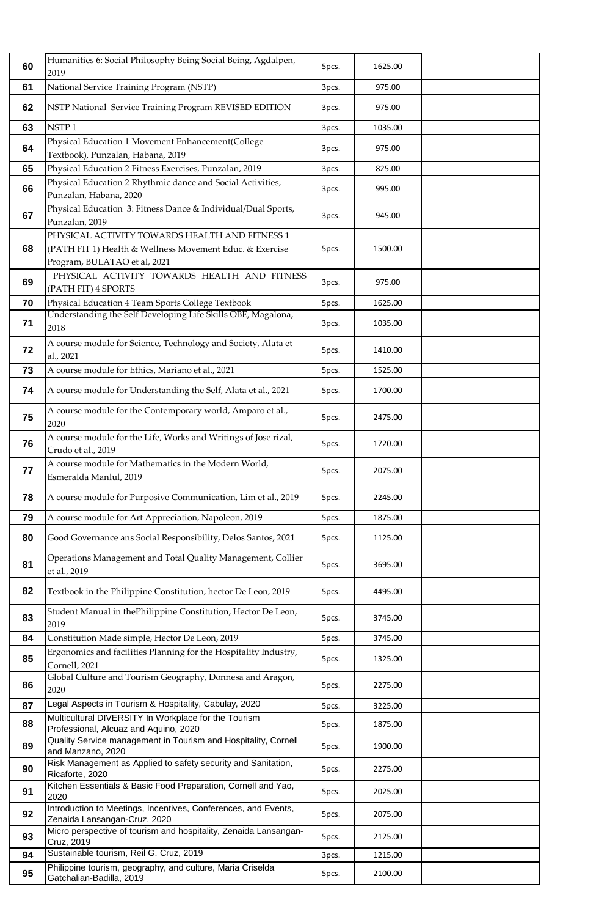| 60 | Humanities 6: Social Philosophy Being Social Being, Agdalpen,<br>2019                                                                                           | 5pcs. | 1625.00 |  |
|----|-----------------------------------------------------------------------------------------------------------------------------------------------------------------|-------|---------|--|
| 61 | National Service Training Program (NSTP)                                                                                                                        | 3pcs. | 975.00  |  |
| 62 | NSTP National Service Training Program REVISED EDITION                                                                                                          | 3pcs. | 975.00  |  |
| 63 | NSTP <sub>1</sub>                                                                                                                                               | 3pcs. | 1035.00 |  |
| 64 | Physical Education 1 Movement Enhancement(College<br>Textbook), Punzalan, Habana, 2019                                                                          | 3pcs. | 975.00  |  |
| 65 | Physical Education 2 Fitness Exercises, Punzalan, 2019                                                                                                          | 3pcs. | 825.00  |  |
| 66 | Physical Education 2 Rhythmic dance and Social Activities,<br>Punzalan, Habana, 2020                                                                            | 3pcs. | 995.00  |  |
| 67 | Physical Education 3: Fitness Dance & Individual/Dual Sports,<br>Punzalan, 2019                                                                                 | 3pcs. | 945.00  |  |
| 68 | PHYSICAL ACTIVITY TOWARDS HEALTH AND FITNESS 1<br>(PATH FIT 1) Health & Wellness Movement Educ. & Exercise<br>Program, BULATAO et al, 2021                      | 5pcs. | 1500.00 |  |
| 69 | PHYSICAL ACTIVITY TOWARDS HEALTH AND FITNESS<br>(PATH FIT) 4 SPORTS                                                                                             | 3pcs. | 975.00  |  |
| 70 | Physical Education 4 Team Sports College Textbook<br>Understanding the Self Developing Life Skills OBE, Magalona,                                               | 5pcs. | 1625.00 |  |
| 71 | 2018                                                                                                                                                            | 3pcs. | 1035.00 |  |
| 72 | A course module for Science, Technology and Society, Alata et<br>al., 2021                                                                                      | 5pcs. | 1410.00 |  |
| 73 | A course module for Ethics, Mariano et al., 2021                                                                                                                | 5pcs. | 1525.00 |  |
| 74 | A course module for Understanding the Self, Alata et al., 2021                                                                                                  | 5pcs. | 1700.00 |  |
| 75 | A course module for the Contemporary world, Amparo et al.,<br>2020                                                                                              | 5pcs. | 2475.00 |  |
| 76 | A course module for the Life, Works and Writings of Jose rizal,<br>Crudo et al., 2019                                                                           | 5pcs. | 1720.00 |  |
| 77 | A course module for Mathematics in the Modern World,<br>Esmeralda Manlul, 2019                                                                                  | 5pcs. | 2075.00 |  |
| 78 | A course module for Purposive Communication, Lim et al., 2019                                                                                                   | 5pcs. | 2245.00 |  |
| 79 | A course module for Art Appreciation, Napoleon, 2019                                                                                                            | 5pcs. | 1875.00 |  |
| 80 | Good Governance ans Social Responsibility, Delos Santos, 2021                                                                                                   | 5pcs. | 1125.00 |  |
| 81 | Operations Management and Total Quality Management, Collier<br>et al., 2019                                                                                     | 5pcs. | 3695.00 |  |
| 82 | Textbook in the Philippine Constitution, hector De Leon, 2019                                                                                                   | 5pcs. | 4495.00 |  |
| 83 | Student Manual in thePhilippine Constitution, Hector De Leon,<br>2019                                                                                           | 5pcs. | 3745.00 |  |
| 84 | Constitution Made simple, Hector De Leon, 2019                                                                                                                  | 5pcs. | 3745.00 |  |
| 85 | Ergonomics and facilities Planning for the Hospitality Industry,<br>Cornell, 2021                                                                               | 5pcs. | 1325.00 |  |
| 86 | Global Culture and Tourism Geography, Donnesa and Aragon,<br>2020                                                                                               | 5pcs. | 2275.00 |  |
| 87 | Legal Aspects in Tourism & Hospitality, Cabulay, 2020                                                                                                           | 5pcs. | 3225.00 |  |
| 88 | Multicultural DIVERSITY In Workplace for the Tourism<br>Professional, Alcuaz and Aquino, 2020<br>Quality Service management in Tourism and Hospitality, Cornell | 5pcs. | 1875.00 |  |
| 89 | and Manzano, 2020                                                                                                                                               | 5pcs. | 1900.00 |  |
| 90 | Risk Management as Applied to safety security and Sanitation,<br>Ricaforte, 2020                                                                                | 5pcs. | 2275.00 |  |
| 91 | Kitchen Essentials & Basic Food Preparation, Cornell and Yao,<br>2020<br>Introduction to Meetings, Incentives, Conferences, and Events,                         | 5pcs. | 2025.00 |  |
| 92 | Zenaida Lansangan-Cruz, 2020<br>Micro perspective of tourism and hospitality, Zenaida Lansangan-                                                                | 5pcs. | 2075.00 |  |
| 93 | Cruz, 2019                                                                                                                                                      | 5pcs. | 2125.00 |  |
| 94 | Sustainable tourism, Reil G. Cruz, 2019                                                                                                                         | 3pcs. | 1215.00 |  |
| 95 | Philippine tourism, geography, and culture, Maria Criselda<br>Gatchalian-Badilla, 2019                                                                          | 5pcs. | 2100.00 |  |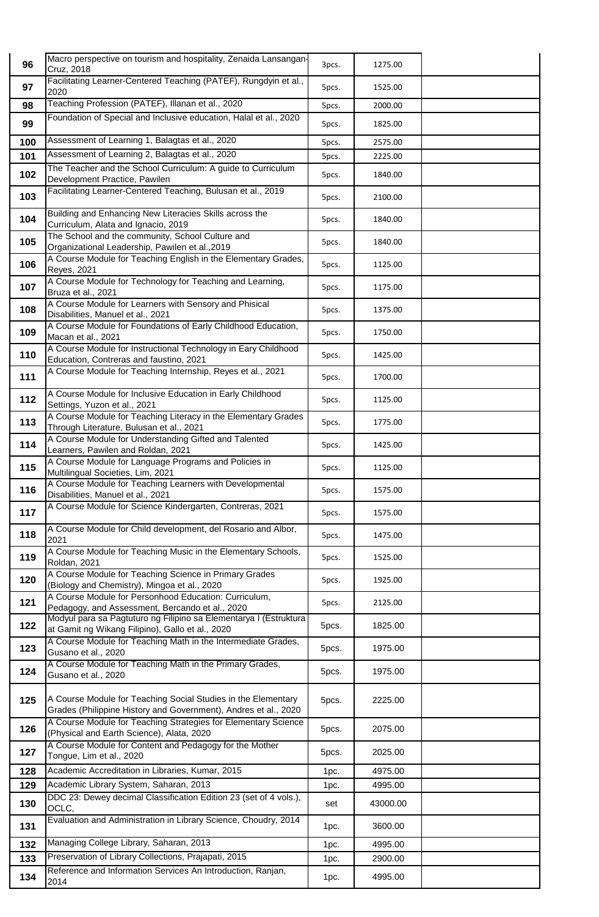| 96         | Macro perspective on tourism and hospitality, Zenaida Lansangan-<br>Cruz, 2018                                                   | 3pcs. | 1275.00            |  |
|------------|----------------------------------------------------------------------------------------------------------------------------------|-------|--------------------|--|
| 97         | Facilitating Learner-Centered Teaching (PATEF), Rungdyin et al.,<br>2020                                                         | 5pcs. | 1525.00            |  |
| 98         | Teaching Profession (PATEF), Illanan et al., 2020                                                                                | 5pcs. | 2000.00            |  |
| 99         | Foundation of Special and Inclusive education, Halal et al., 2020                                                                | 5pcs. | 1825.00            |  |
| 100        | Assessment of Learning 1, Balagtas et al., 2020                                                                                  | 5pcs. | 2575.00            |  |
| 101        | Assessment of Learning 2, Balagtas et al., 2020                                                                                  | 5pcs. | 2225.00            |  |
| 102        | The Teacher and the School Curriculum: A guide to Curriculum<br>Development Practice, Pawilen                                    | 5pcs. | 1840.00            |  |
| 103        | Facilitating Learner-Centered Teaching, Bulusan et al., 2019                                                                     | 5pcs. | 2100.00            |  |
| 104        | Building and Enhancing New Literacies Skills across the<br>Curriculum, Alata and Ignacio, 2019                                   | 5pcs. | 1840.00            |  |
| 105        | The School and the community, School Culture and<br>Organizational Leadership, Pawilen et al., 2019                              | 5pcs. | 1840.00            |  |
| 106        | A Course Module for Teaching English in the Elementary Grades,<br>Reyes, 2021                                                    | 5pcs. | 1125.00            |  |
| 107        | A Course Module for Technology for Teaching and Learning,<br>Bruza et al., 2021                                                  | 5pcs. | 1175.00            |  |
| 108        | A Course Module for Learners with Sensory and Phisical<br>Disabilities, Manuel et al., 2021                                      | 5pcs. | 1375.00            |  |
| 109        | A Course Module for Foundations of Early Childhood Education,<br>Macan et al., 2021                                              | 5pcs. | 1750.00            |  |
| 110        | A Course Module for Instructional Technology in Eary Childhood<br>Education, Contreras and faustino, 2021                        | 5pcs. | 1425.00            |  |
| 111        | A Course Module for Teaching Internship, Reyes et al., 2021                                                                      | 5pcs. | 1700.00            |  |
| 112        | A Course Module for Inclusive Education in Early Childhood<br>Settings, Yuzon et al., 2021                                       | 5pcs. | 1125.00            |  |
| 113        | A Course Module for Teaching Literacy in the Elementary Grades<br>Through Literature, Bulusan et al., 2021                       | 5pcs. | 1775.00            |  |
| 114        | A Course Module for Understanding Gifted and Talented<br>Learners, Pawilen and Roldan, 2021                                      | 5pcs. | 1425.00            |  |
| 115        | A Course Module for Language Programs and Policies in<br>Multilingual Societies, Lim, 2021                                       | 5pcs. | 1125.00            |  |
| 116        | A Course Module for Teaching Learners with Developmental<br>Disabilities, Manuel et al., 2021                                    | 5pcs. | 1575.00            |  |
| 117        | A Course Module for Science Kindergarten, Contreras, 2021                                                                        | 5pcs. | 1575.00            |  |
| 118        | A Course Module for Child development, del Rosario and Albor,<br>2021                                                            | 5pcs. | 1475.00            |  |
| 119        | A Course Module for Teaching Music in the Elementary Schools,<br>Roldan, 2021                                                    | 5pcs. | 1525.00            |  |
| 120        | A Course Module for Teaching Science in Primary Grades<br>(Biology and Chemistry), Mingoa et al., 2020                           | 5pcs. | 1925.00            |  |
| 121        | A Course Module for Personhood Education: Curriculum,<br>Pedagogy, and Assessment, Bercando et al., 2020                         | 5pcs. | 2125.00            |  |
| 122        | Modyul para sa Pagtuturo ng Filipino sa Elementarya I (Estruktura<br>at Gamit ng Wikang Filipino), Gallo et al., 2020            | 5pcs. | 1825.00            |  |
| 123        | A Course Module for Teaching Math in the Intermediate Grades,<br>Gusano et al., 2020                                             | 5pcs. | 1975.00            |  |
| 124        | A Course Module for Teaching Math in the Primary Grades,<br>Gusano et al., 2020                                                  | 5pcs. | 1975.00            |  |
| 125        | A Course Module for Teaching Social Studies in the Elementary<br>Grades (Philippine History and Government), Andres et al., 2020 | 5pcs. | 2225.00            |  |
| 126        | A Course Module for Teaching Strategies for Elementary Science<br>(Physical and Earth Science), Alata, 2020                      | 5pcs. | 2075.00            |  |
| 127        | A Course Module for Content and Pedagogy for the Mother<br>Tongue, Lim et al., 2020                                              | 5pcs. | 2025.00            |  |
| 128        | Academic Accreditation in Libraries, Kumar, 2015                                                                                 | 1pc.  | 4975.00            |  |
| 129        | Academic Library System, Saharan, 2013<br>DDC 23: Dewey decimal Classification Edition 23 (set of 4 vols.),                      | 1pc.  | 4995.00            |  |
| 130        | OCLC,                                                                                                                            | set   | 43000.00           |  |
| 131        | Evaluation and Administration in Library Science, Choudry, 2014                                                                  | 1pc.  | 3600.00            |  |
| 132<br>133 | Managing College Library, Saharan, 2013<br>Preservation of Library Collections, Prajapati, 2015                                  | 1pc.  | 4995.00<br>2900.00 |  |
|            | Reference and Information Services An Introduction, Ranjan,                                                                      | 1pc.  |                    |  |
| 134        | 2014                                                                                                                             | 1pc.  | 4995.00            |  |